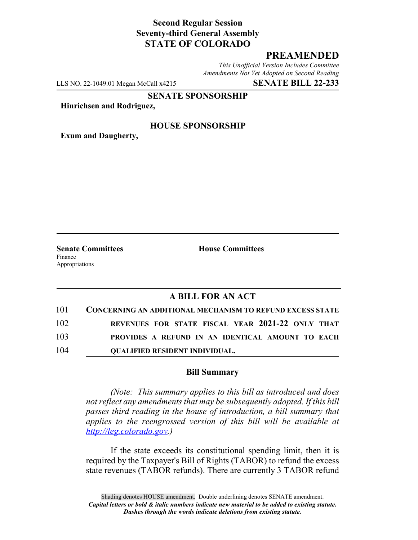# **Second Regular Session Seventy-third General Assembly STATE OF COLORADO**

## **PREAMENDED**

*This Unofficial Version Includes Committee Amendments Not Yet Adopted on Second Reading*

LLS NO. 22-1049.01 Megan McCall x4215 **SENATE BILL 22-233**

**SENATE SPONSORSHIP**

**Hinrichsen and Rodriguez,**

### **HOUSE SPONSORSHIP**

**Exum and Daugherty,**

Finance Appropriations

**Senate Committees House Committees** 

### **A BILL FOR AN ACT**

| 101 | <b>CONCERNING AN ADDITIONAL MECHANISM TO REFUND EXCESS STATE</b> |
|-----|------------------------------------------------------------------|
| 102 | REVENUES FOR STATE FISCAL YEAR 2021-22 ONLY THAT                 |
| 103 | PROVIDES A REFUND IN AN IDENTICAL AMOUNT TO EACH                 |
| 104 | <b>OUALIFIED RESIDENT INDIVIDUAL.</b>                            |

#### **Bill Summary**

*(Note: This summary applies to this bill as introduced and does not reflect any amendments that may be subsequently adopted. If this bill passes third reading in the house of introduction, a bill summary that applies to the reengrossed version of this bill will be available at http://leg.colorado.gov.)*

If the state exceeds its constitutional spending limit, then it is required by the Taxpayer's Bill of Rights (TABOR) to refund the excess state revenues (TABOR refunds). There are currently 3 TABOR refund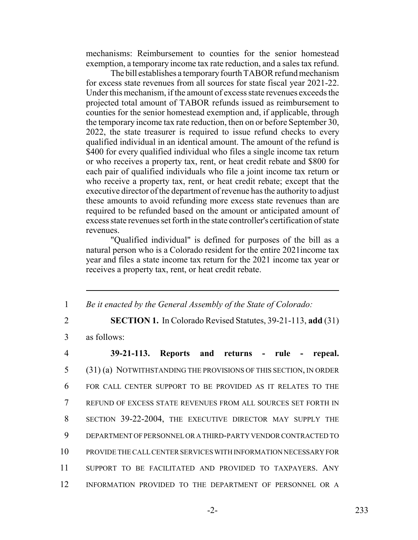mechanisms: Reimbursement to counties for the senior homestead exemption, a temporary income tax rate reduction, and a sales tax refund.

The bill establishes a temporary fourth TABOR refund mechanism for excess state revenues from all sources for state fiscal year 2021-22. Under this mechanism, if the amount of excess state revenues exceeds the projected total amount of TABOR refunds issued as reimbursement to counties for the senior homestead exemption and, if applicable, through the temporary income tax rate reduction, then on or before September 30, 2022, the state treasurer is required to issue refund checks to every qualified individual in an identical amount. The amount of the refund is \$400 for every qualified individual who files a single income tax return or who receives a property tax, rent, or heat credit rebate and \$800 for each pair of qualified individuals who file a joint income tax return or who receive a property tax, rent, or heat credit rebate; except that the executive director of the department of revenue has the authority to adjust these amounts to avoid refunding more excess state revenues than are required to be refunded based on the amount or anticipated amount of excess state revenues set forth in the state controller's certification of state revenues.

"Qualified individual" is defined for purposes of the bill as a natural person who is a Colorado resident for the entire 2021income tax year and files a state income tax return for the 2021 income tax year or receives a property tax, rent, or heat credit rebate.

1 *Be it enacted by the General Assembly of the State of Colorado:*

2 **SECTION 1.** In Colorado Revised Statutes, 39-21-113, **add** (31)

3 as follows:

 **39-21-113. Reports and returns - rule - repeal.** (31) (a) NOTWITHSTANDING THE PROVISIONS OF THIS SECTION, IN ORDER FOR CALL CENTER SUPPORT TO BE PROVIDED AS IT RELATES TO THE REFUND OF EXCESS STATE REVENUES FROM ALL SOURCES SET FORTH IN SECTION 39-22-2004, THE EXECUTIVE DIRECTOR MAY SUPPLY THE DEPARTMENT OF PERSONNEL OR A THIRD-PARTY VENDOR CONTRACTED TO PROVIDE THE CALL CENTER SERVICES WITH INFORMATION NECESSARY FOR SUPPORT TO BE FACILITATED AND PROVIDED TO TAXPAYERS. ANY INFORMATION PROVIDED TO THE DEPARTMENT OF PERSONNEL OR A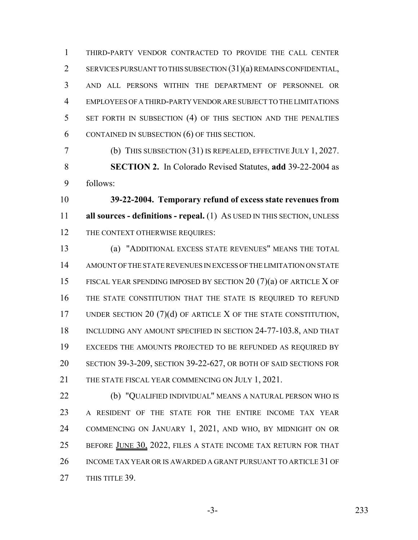THIRD-PARTY VENDOR CONTRACTED TO PROVIDE THE CALL CENTER SERVICES PURSUANT TO THIS SUBSECTION (31)(a) REMAINS CONFIDENTIAL, AND ALL PERSONS WITHIN THE DEPARTMENT OF PERSONNEL OR EMPLOYEES OF A THIRD-PARTY VENDOR ARE SUBJECT TO THE LIMITATIONS SET FORTH IN SUBSECTION (4) OF THIS SECTION AND THE PENALTIES CONTAINED IN SUBSECTION (6) OF THIS SECTION.

 (b) THIS SUBSECTION (31) IS REPEALED, EFFECTIVE JULY 1, 2027. **SECTION 2.** In Colorado Revised Statutes, **add** 39-22-2004 as follows:

 **39-22-2004. Temporary refund of excess state revenues from all sources - definitions - repeal.** (1) AS USED IN THIS SECTION, UNLESS 12 THE CONTEXT OTHERWISE REQUIRES:

 (a) "ADDITIONAL EXCESS STATE REVENUES" MEANS THE TOTAL AMOUNT OF THE STATE REVENUES IN EXCESS OF THE LIMITATION ON STATE FISCAL YEAR SPENDING IMPOSED BY SECTION 20 (7)(a) OF ARTICLE X OF THE STATE CONSTITUTION THAT THE STATE IS REQUIRED TO REFUND 17 UNDER SECTION 20 (7)(d) OF ARTICLE X OF THE STATE CONSTITUTION, 18 INCLUDING ANY AMOUNT SPECIFIED IN SECTION 24-77-103.8, AND THAT EXCEEDS THE AMOUNTS PROJECTED TO BE REFUNDED AS REQUIRED BY SECTION 39-3-209, SECTION 39-22-627, OR BOTH OF SAID SECTIONS FOR 21 THE STATE FISCAL YEAR COMMENCING ON JULY 1, 2021.

 (b) "QUALIFIED INDIVIDUAL" MEANS A NATURAL PERSON WHO IS A RESIDENT OF THE STATE FOR THE ENTIRE INCOME TAX YEAR COMMENCING ON JANUARY 1, 2021, AND WHO, BY MIDNIGHT ON OR 25 BEFORE JUNE 30, 2022, FILES A STATE INCOME TAX RETURN FOR THAT INCOME TAX YEAR OR IS AWARDED A GRANT PURSUANT TO ARTICLE 31 OF 27 THIS TITLE 39.

-3- 233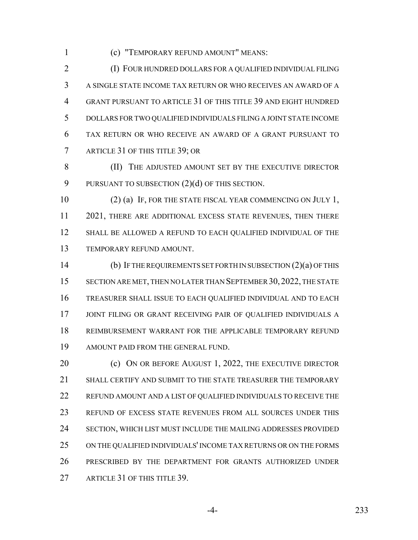(c) "TEMPORARY REFUND AMOUNT" MEANS:

 (I) FOUR HUNDRED DOLLARS FOR A QUALIFIED INDIVIDUAL FILING A SINGLE STATE INCOME TAX RETURN OR WHO RECEIVES AN AWARD OF A GRANT PURSUANT TO ARTICLE 31 OF THIS TITLE 39 AND EIGHT HUNDRED DOLLARS FOR TWO QUALIFIED INDIVIDUALS FILING A JOINT STATE INCOME TAX RETURN OR WHO RECEIVE AN AWARD OF A GRANT PURSUANT TO ARTICLE 31 OF THIS TITLE 39; OR

**(II)** THE ADJUSTED AMOUNT SET BY THE EXECUTIVE DIRECTOR 9 PURSUANT TO SUBSECTION  $(2)(d)$  OF THIS SECTION.

10 (2) (a) IF, FOR THE STATE FISCAL YEAR COMMENCING ON JULY 1, 11 2021, THERE ARE ADDITIONAL EXCESS STATE REVENUES, THEN THERE SHALL BE ALLOWED A REFUND TO EACH QUALIFIED INDIVIDUAL OF THE TEMPORARY REFUND AMOUNT.

 (b) IF THE REQUIREMENTS SET FORTH IN SUBSECTION (2)(a) OF THIS SECTION ARE MET, THEN NO LATER THAN SEPTEMBER 30, 2022, THE STATE TREASURER SHALL ISSUE TO EACH QUALIFIED INDIVIDUAL AND TO EACH JOINT FILING OR GRANT RECEIVING PAIR OF QUALIFIED INDIVIDUALS A REIMBURSEMENT WARRANT FOR THE APPLICABLE TEMPORARY REFUND AMOUNT PAID FROM THE GENERAL FUND.

**(c)** ON OR BEFORE AUGUST 1, 2022, THE EXECUTIVE DIRECTOR SHALL CERTIFY AND SUBMIT TO THE STATE TREASURER THE TEMPORARY REFUND AMOUNT AND A LIST OF QUALIFIED INDIVIDUALS TO RECEIVE THE REFUND OF EXCESS STATE REVENUES FROM ALL SOURCES UNDER THIS SECTION, WHICH LIST MUST INCLUDE THE MAILING ADDRESSES PROVIDED ON THE QUALIFIED INDIVIDUALS' INCOME TAX RETURNS OR ON THE FORMS PRESCRIBED BY THE DEPARTMENT FOR GRANTS AUTHORIZED UNDER 27 ARTICLE 31 OF THIS TITLE 39.

-4- 233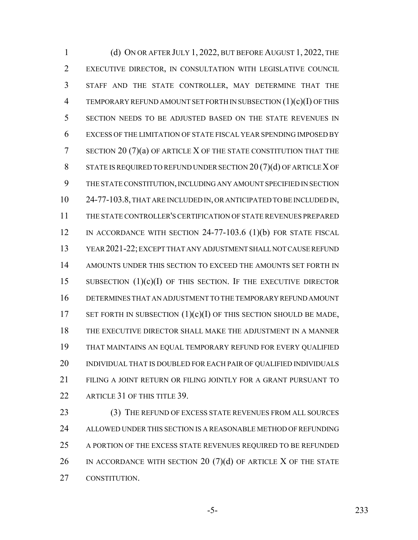(d) ON OR AFTER JULY 1, 2022, BUT BEFORE AUGUST 1, 2022, THE EXECUTIVE DIRECTOR, IN CONSULTATION WITH LEGISLATIVE COUNCIL STAFF AND THE STATE CONTROLLER, MAY DETERMINE THAT THE TEMPORARY REFUND AMOUNT SET FORTH IN SUBSECTION (1)(c)(I) OF THIS SECTION NEEDS TO BE ADJUSTED BASED ON THE STATE REVENUES IN EXCESS OF THE LIMITATION OF STATE FISCAL YEAR SPENDING IMPOSED BY SECTION 20 (7)(a) OF ARTICLE X OF THE STATE CONSTITUTION THAT THE 8 STATE IS REQUIRED TO REFUND UNDER SECTION 20(7)(d) OF ARTICLE X OF THE STATE CONSTITUTION, INCLUDING ANY AMOUNT SPECIFIED IN SECTION 24-77-103.8, THAT ARE INCLUDED IN, OR ANTICIPATED TO BE INCLUDED IN, THE STATE CONTROLLER'S CERTIFICATION OF STATE REVENUES PREPARED 12 IN ACCORDANCE WITH SECTION 24-77-103.6 (1)(b) FOR STATE FISCAL YEAR 2021-22; EXCEPT THAT ANY ADJUSTMENT SHALL NOT CAUSE REFUND 14 AMOUNTS UNDER THIS SECTION TO EXCEED THE AMOUNTS SET FORTH IN 15 SUBSECTION  $(1)(c)(I)$  of this section. If the executive director DETERMINES THAT AN ADJUSTMENT TO THE TEMPORARY REFUND AMOUNT 17 SET FORTH IN SUBSECTION  $(1)(c)(I)$  OF THIS SECTION SHOULD BE MADE, THE EXECUTIVE DIRECTOR SHALL MAKE THE ADJUSTMENT IN A MANNER THAT MAINTAINS AN EQUAL TEMPORARY REFUND FOR EVERY QUALIFIED 20 INDIVIDUAL THAT IS DOUBLED FOR EACH PAIR OF QUALIFIED INDIVIDUALS FILING A JOINT RETURN OR FILING JOINTLY FOR A GRANT PURSUANT TO 22 ARTICLE 31 OF THIS TITLE 39.

23 (3) THE REFUND OF EXCESS STATE REVENUES FROM ALL SOURCES ALLOWED UNDER THIS SECTION IS A REASONABLE METHOD OF REFUNDING 25 A PORTION OF THE EXCESS STATE REVENUES REQUIRED TO BE REFUNDED 26 IN ACCORDANCE WITH SECTION 20  $(7)(d)$  of article X of the state CONSTITUTION.

-5- 233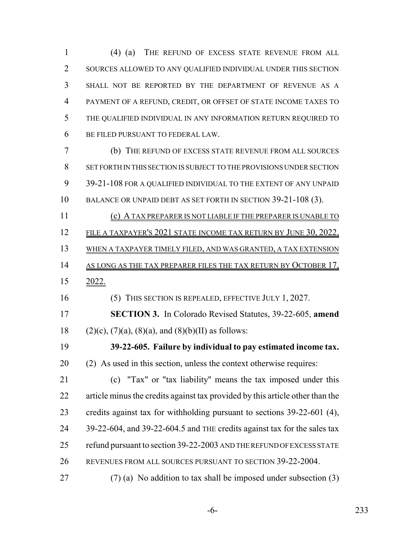(4) (a) THE REFUND OF EXCESS STATE REVENUE FROM ALL SOURCES ALLOWED TO ANY QUALIFIED INDIVIDUAL UNDER THIS SECTION SHALL NOT BE REPORTED BY THE DEPARTMENT OF REVENUE AS A PAYMENT OF A REFUND, CREDIT, OR OFFSET OF STATE INCOME TAXES TO THE QUALIFIED INDIVIDUAL IN ANY INFORMATION RETURN REQUIRED TO BE FILED PURSUANT TO FEDERAL LAW.

 (b) THE REFUND OF EXCESS STATE REVENUE FROM ALL SOURCES SET FORTH IN THIS SECTION IS SUBJECT TO THE PROVISIONS UNDER SECTION 39-21-108 FOR A QUALIFIED INDIVIDUAL TO THE EXTENT OF ANY UNPAID BALANCE OR UNPAID DEBT AS SET FORTH IN SECTION 39-21-108 (3).

(c) A TAX PREPARER IS NOT LIABLE IF THE PREPARER IS UNABLE TO

12 FILE A TAXPAYER'S 2021 STATE INCOME TAX RETURN BY JUNE 30, 2022,

WHEN A TAXPAYER TIMELY FILED, AND WAS GRANTED, A TAX EXTENSION

- 14 AS LONG AS THE TAX PREPARER FILES THE TAX RETURN BY OCTOBER 17,
- 2022.

(5) THIS SECTION IS REPEALED, EFFECTIVE JULY 1, 2027.

 **SECTION 3.** In Colorado Revised Statutes, 39-22-605, **amend** 18 (2)(c), (7)(a), (8)(a), and (8)(b)(II) as follows:

 **39-22-605. Failure by individual to pay estimated income tax.** (2) As used in this section, unless the context otherwise requires:

 (c) "Tax" or "tax liability" means the tax imposed under this article minus the credits against tax provided by this article other than the credits against tax for withholding pursuant to sections 39-22-601 (4), 24 39-22-604, and 39-22-604.5 and THE credits against tax for the sales tax refund pursuant to section 39-22-2003 AND THE REFUND OF EXCESS STATE REVENUES FROM ALL SOURCES PURSUANT TO SECTION 39-22-2004.

27 (7) (a) No addition to tax shall be imposed under subsection  $(3)$